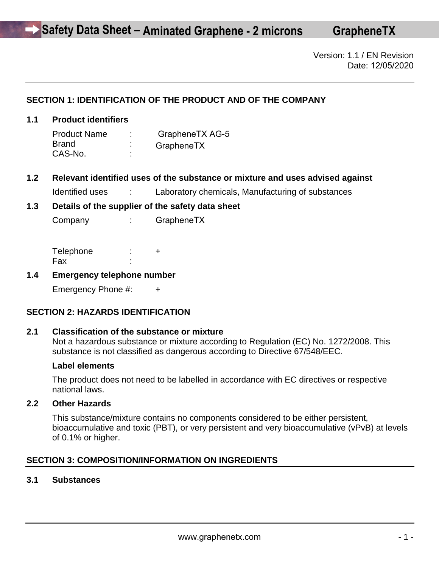**GrapheneTX**

Version: 1.1 / EN Revision Date: 12/05/2020

# **SECTION 1: IDENTIFICATION OF THE PRODUCT AND OF THE COMPANY**

### **1.1 Product identifiers**

Product Name: **Brand** CAS-No. : GrapheneTX AG-5 **GrapheneTX** 

**1.2 Relevant identified uses of the substance or mixture and uses advised against** 

Identified uses : Laboratory chemicals, Manufacturing of substances

#### **1.3 Details of the supplier of the safety data sheet**

Company : GrapheneTX

| Telephone |  |
|-----------|--|
| Fax       |  |

#### **1.4 Emergency telephone number**

Emergency Phone #: +

#### **SECTION 2: HAZARDS IDENTIFICATION**

#### **2.1 Classification of the substance or mixture**

Not a hazardous substance or mixture according to Regulation (EC) No. 1272/2008. This substance is not classified as dangerous according to Directive 67/548/EEC.

#### **Label elements**

The product does not need to be labelled in accordance with EC directives or respective national laws.

#### **2.2 Other Hazards**

This substance/mixture contains no components considered to be either persistent, bioaccumulative and toxic (PBT), or very persistent and very bioaccumulative (vPvB) at levels of 0.1% or higher.

# **SECTION 3: COMPOSITION/INFORMATION ON INGREDIENTS**

#### **3.1 Substances**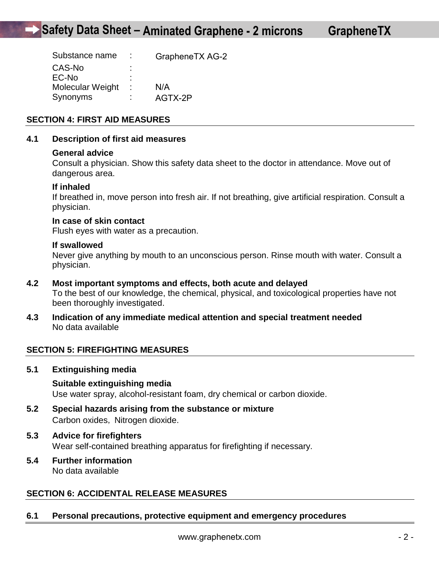| ۰ |         |                 |
|---|---------|-----------------|
| ٠ |         |                 |
|   | N/A     |                 |
|   | AGTX-2P |                 |
|   |         | GrapheneTX AG-2 |

# **SECTION 4: FIRST AID MEASURES**

#### **4.1 Description of first aid measures**

#### **General advice**

Consult a physician. Show this safety data sheet to the doctor in attendance. Move out of dangerous area.

#### **If inhaled**

If breathed in, move person into fresh air. If not breathing, give artificial respiration. Consult a physician.

#### **In case of skin contact**

Flush eyes with water as a precaution.

#### **If swallowed**

Never give anything by mouth to an unconscious person. Rinse mouth with water. Consult a physician.

- **4.2 Most important symptoms and effects, both acute and delayed**  To the best of our knowledge, the chemical, physical, and toxicological properties have not been thoroughly investigated.
- **4.3 Indication of any immediate medical attention and special treatment needed**  No data available

# **SECTION 5: FIREFIGHTING MEASURES**

**5.1 Extinguishing media** 

#### **Suitable extinguishing media**

Use water spray, alcohol-resistant foam, dry chemical or carbon dioxide.

- **5.2 Special hazards arising from the substance or mixture**  Carbon oxides, Nitrogen dioxide.
- **5.3 Advice for firefighters**  Wear self-contained breathing apparatus for firefighting if necessary.
- **5.4 Further information**  No data available

# **SECTION 6: ACCIDENTAL RELEASE MEASURES**

#### **6.1 Personal precautions, protective equipment and emergency procedures**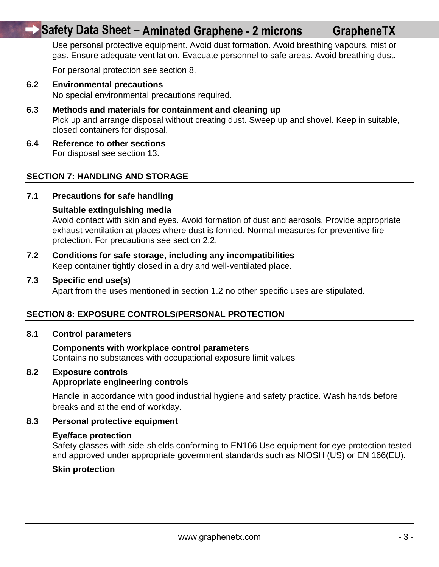# **Safety Data Sheet – Aminated Graphene - 2 microns**

Use personal protective equipment. Avoid dust formation. Avoid breathing vapours, mist or gas. Ensure adequate ventilation. Evacuate personnel to safe areas. Avoid breathing dust.

For personal protection see section 8.

**6.2 Environmental precautions** 

No special environmental precautions required.

- **6.3 Methods and materials for containment and cleaning up**  Pick up and arrange disposal without creating dust. Sweep up and shovel. Keep in suitable, closed containers for disposal.
- **6.4 Reference to other sections**  For disposal see section 13.

# **SECTION 7: HANDLING AND STORAGE**

#### **7.1 Precautions for safe handling**

#### **Suitable extinguishing media**

Avoid contact with skin and eyes. Avoid formation of dust and aerosols. Provide appropriate exhaust ventilation at places where dust is formed. Normal measures for preventive fire protection. For precautions see section 2.2.

**7.2 Conditions for safe storage, including any incompatibilities**  Keep container tightly closed in a dry and well-ventilated place.

#### **7.3 Specific end use(s)**

Apart from the uses mentioned in section 1.2 no other specific uses are stipulated.

#### **SECTION 8: EXPOSURE CONTROLS/PERSONAL PROTECTION**

#### **8.1 Control parameters**

# **Components with workplace control parameters**

Contains no substances with occupational exposure limit values

# **8.2 Exposure controls**

# **Appropriate engineering controls**

Handle in accordance with good industrial hygiene and safety practice. Wash hands before breaks and at the end of workday.

#### **8.3 Personal protective equipment**

#### **Eye/face protection**

Safety glasses with side-shields conforming to EN166 Use equipment for eye protection tested and approved under appropriate government standards such as NIOSH (US) or EN 166(EU).

#### **Skin protection**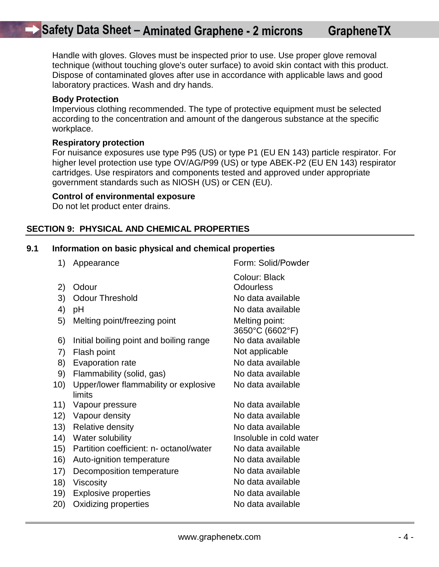Handle with gloves. Gloves must be inspected prior to use. Use proper glove removal technique (without touching glove's outer surface) to avoid skin contact with this product. Dispose of contaminated gloves after use in accordance with applicable laws and good laboratory practices. Wash and dry hands.

#### **Body Protection**

Impervious clothing recommended. The type of protective equipment must be selected according to the concentration and amount of the dangerous substance at the specific workplace.

#### **Respiratory protection**

For nuisance exposures use type P95 (US) or type P1 (EU EN 143) particle respirator. For higher level protection use type OV/AG/P99 (US) or type ABEK-P2 (EU EN 143) respirator cartridges. Use respirators and components tested and approved under appropriate government standards such as NIOSH (US) or CEN (EU).

#### **Control of environmental exposure**

Do not let product enter drains.

# **SECTION 9: PHYSICAL AND CHEMICAL PROPERTIES**

#### **9.1 Information on basic physical and chemical properties**

1) Appearance Form: Solid/Powder Colour: Black 2) Odour Colourless 3) Odour Threshold No data available 4) pH No data available 5) Melting point/freezing point Melting point: 3650°C (6602°F) 6) Initial boiling point and boiling range 7) Flash point Not applicable 8) Evaporation rate No data available 9) Flammability (solid, gas) No data available 10) Upper/lower flammability or explosive **limits** No data available 11) Vapour pressure No data available 12) Vapour density No data available 13) Relative density No data available 14) Water solubility **Insoluble in cold water** 15) Partition coefficient: n- octanol/water No data available 16) Auto-ignition temperature No data available 17) Decomposition temperature No data available 18) Viscosity **No data available** 19) Explosive properties No data available 20) Oxidizing properties No data available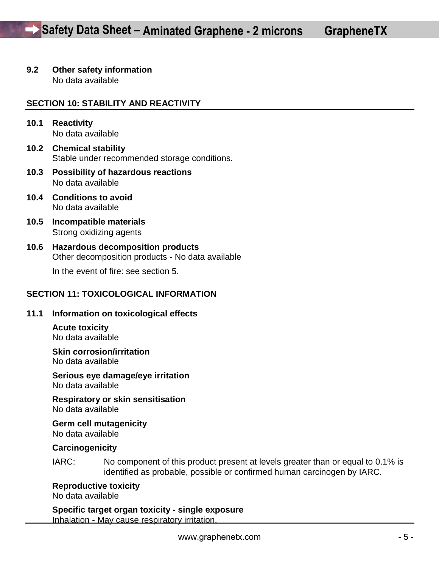# **9.2 Other safety information**

No data available

# **SECTION 10: STABILITY AND REACTIVITY**

- **10.1 Reactivity**  No data available
- **10.2 Chemical stability**  Stable under recommended storage conditions.
- **10.3 Possibility of hazardous reactions**  No data available
- **10.4 Conditions to avoid**  No data available
- **10.5 Incompatible materials**  Strong oxidizing agents
- **10.6 Hazardous decomposition products**  Other decomposition products - No data available

In the event of fire: see section 5.

# **SECTION 11: TOXICOLOGICAL INFORMATION**

#### **11.1 Information on toxicological effects**

**Acute toxicity**  No data available

**Skin corrosion/irritation**  No data available

**Serious eye damage/eye irritation**  No data available

**Respiratory or skin sensitisation**  No data available

**Germ cell mutagenicity**  No data available

#### **Carcinogenicity**

IARC: No component of this product present at levels greater than or equal to 0.1% is identified as probable, possible or confirmed human carcinogen by IARC.

**Reproductive toxicity** 

No data available

**Specific target organ toxicity - single exposure**  Inhalation - May cause respiratory irritation.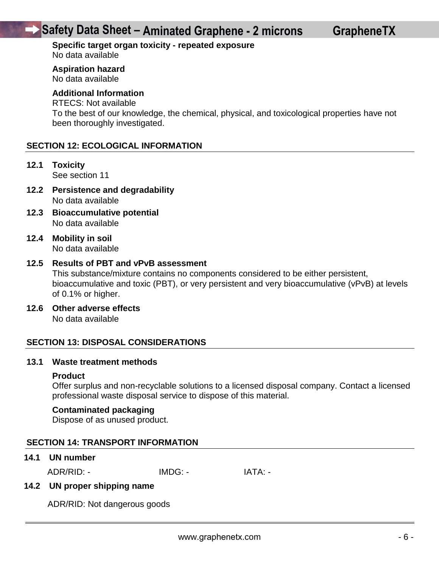# **Safety Data Sheet – Aminated Graphene - 2 microns**

#### **Specific target organ toxicity - repeated exposure**  No data available

**Aspiration hazard** 

No data available

# **Additional Information**

# RTECS: Not available

To the best of our knowledge, the chemical, physical, and toxicological properties have not been thoroughly investigated.

# **SECTION 12: ECOLOGICAL INFORMATION**

**12.1 Toxicity** 

See section 11

- **12.2 Persistence and degradability**  No data available
- **12.3 Bioaccumulative potential**  No data available
- **12.4 Mobility in soil**  No data available

#### **12.5 Results of PBT and vPvB assessment**

This substance/mixture contains no components considered to be either persistent, bioaccumulative and toxic (PBT), or very persistent and very bioaccumulative (vPvB) at levels of 0.1% or higher.

**12.6 Other adverse effects** 

No data available

#### **SECTION 13: DISPOSAL CONSIDERATIONS**

#### **13.1 Waste treatment methods**

#### **Product**

Offer surplus and non-recyclable solutions to a licensed disposal company. Contact a licensed professional waste disposal service to dispose of this material.

#### **Contaminated packaging**

Dispose of as unused product.

### **SECTION 14: TRANSPORT INFORMATION**

#### **14.1 UN number**

ADR/RID: - IMDG: - IMDG: - IATA: -

#### **14.2 UN proper shipping name**

ADR/RID: Not dangerous goods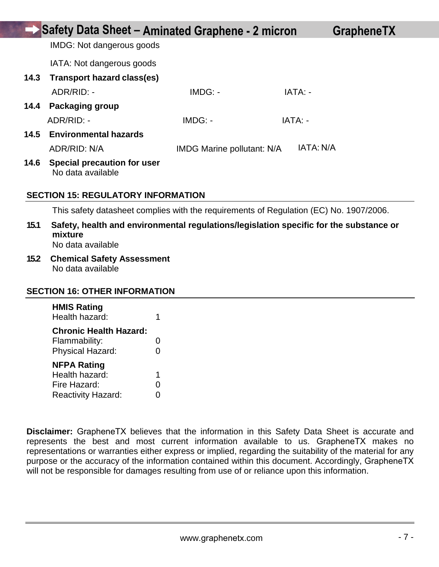|      | Safety Data Sheet - Aminated Graphene - 2 micron        |                                   |           | <b>GrapheneTX</b> |
|------|---------------------------------------------------------|-----------------------------------|-----------|-------------------|
|      | <b>IMDG:</b> Not dangerous goods                        |                                   |           |                   |
|      | IATA: Not dangerous goods                               |                                   |           |                   |
| 14.3 | Transport hazard class(es)                              |                                   |           |                   |
|      | ADR/RID: -                                              | $IMDG: -$                         | IATA: -   |                   |
| 14.4 | <b>Packaging group</b>                                  |                                   |           |                   |
|      | ADR/RID: -                                              | $IMDG: -$                         | IATA: -   |                   |
| 14.5 | <b>Environmental hazards</b>                            |                                   |           |                   |
|      | ADR/RID: N/A                                            | <b>IMDG Marine pollutant: N/A</b> | IATA: N/A |                   |
| 14.6 | <b>Special precaution for user</b><br>No data available |                                   |           |                   |
|      | <b>SECTION 15: REGULATORY INFORMATION</b>               |                                   |           |                   |

This safety datasheet complies with the requirements of Regulation (EC) No. 1907/2006.

- **15.1 Safety, health and environmental regulations/legislation specific for the substance or mixture**  No data available
- **15.2 Chemical Safety Assessment**  No data available

#### **SECTION 16: OTHER INFORMATION**

| <b>HMIS Rating</b><br>Health hazard: | 1 |
|--------------------------------------|---|
| <b>Chronic Health Hazard:</b>        |   |
| Flammability:                        | 0 |
| <b>Physical Hazard:</b>              | 0 |
| <b>NFPA Rating</b>                   |   |
| Health hazard:                       | 1 |
| Fire Hazard:                         | 0 |
| <b>Reactivity Hazard:</b>            | Ω |

**Disclaimer:** GrapheneTX believes that the information in this Safety Data Sheet is accurate and represents the best and most current information available to us. GrapheneTX makes no representations or warranties either express or implied, regarding the suitability of the material for any purpose or the accuracy of the information contained within this document. Accordingly, GrapheneTX will not be responsible for damages resulting from use of or reliance upon this information.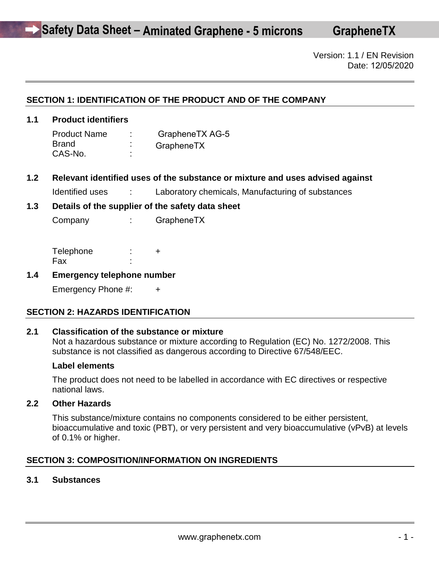**GrapheneTX**

Version: 1.1 / EN Revision Date: 12/05/2020

# **SECTION 1: IDENTIFICATION OF THE PRODUCT AND OF THE COMPANY**

# **1.1 Product identifiers**

Product Name: **Brand** CAS-No. : GrapheneTX AG-5 **GrapheneTX** 

**1.2 Relevant identified uses of the substance or mixture and uses advised against** 

Identified uses : Laboratory chemicals, Manufacturing of substances

#### **1.3 Details of the supplier of the safety data sheet**

Company : GrapheneTX

| Telephone |  |
|-----------|--|
| Fax       |  |

#### **1.4 Emergency telephone number**

Emergency Phone #: +

#### **SECTION 2: HAZARDS IDENTIFICATION**

#### **2.1 Classification of the substance or mixture**

Not a hazardous substance or mixture according to Regulation (EC) No. 1272/2008. This substance is not classified as dangerous according to Directive 67/548/EEC.

#### **Label elements**

The product does not need to be labelled in accordance with EC directives or respective national laws.

#### **2.2 Other Hazards**

This substance/mixture contains no components considered to be either persistent, bioaccumulative and toxic (PBT), or very persistent and very bioaccumulative (vPvB) at levels of 0.1% or higher.

# **SECTION 3: COMPOSITION/INFORMATION ON INGREDIENTS**

#### **3.1 Substances**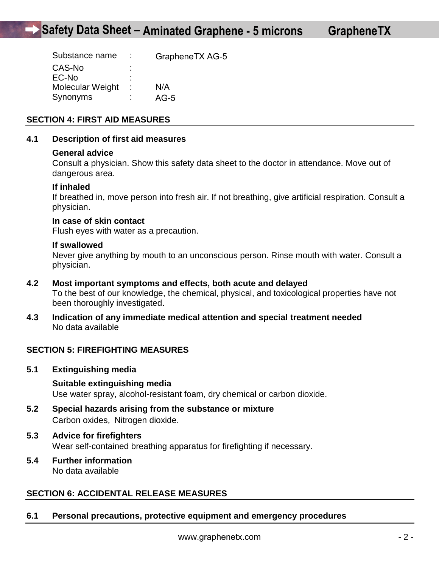| Substance name   |    | GrapheneTX AG-5 |
|------------------|----|-----------------|
| CAS-No           | ٠  |                 |
| EC-No            | ٠  |                 |
| Molecular Weight | ٠. | N/A             |
| Synonyms         |    | $AG-5$          |

# **SECTION 4: FIRST AID MEASURES**

#### **4.1 Description of first aid measures**

#### **General advice**

Consult a physician. Show this safety data sheet to the doctor in attendance. Move out of dangerous area.

#### **If inhaled**

If breathed in, move person into fresh air. If not breathing, give artificial respiration. Consult a physician.

#### **In case of skin contact**

Flush eyes with water as a precaution.

#### **If swallowed**

Never give anything by mouth to an unconscious person. Rinse mouth with water. Consult a physician.

- **4.2 Most important symptoms and effects, both acute and delayed**  To the best of our knowledge, the chemical, physical, and toxicological properties have not been thoroughly investigated.
- **4.3 Indication of any immediate medical attention and special treatment needed**  No data available

# **SECTION 5: FIREFIGHTING MEASURES**

**5.1 Extinguishing media** 

#### **Suitable extinguishing media**

Use water spray, alcohol-resistant foam, dry chemical or carbon dioxide.

- **5.2 Special hazards arising from the substance or mixture**  Carbon oxides, Nitrogen dioxide.
- **5.3 Advice for firefighters**  Wear self-contained breathing apparatus for firefighting if necessary.
- **5.4 Further information**  No data available

# **SECTION 6: ACCIDENTAL RELEASE MEASURES**

#### **6.1 Personal precautions, protective equipment and emergency procedures**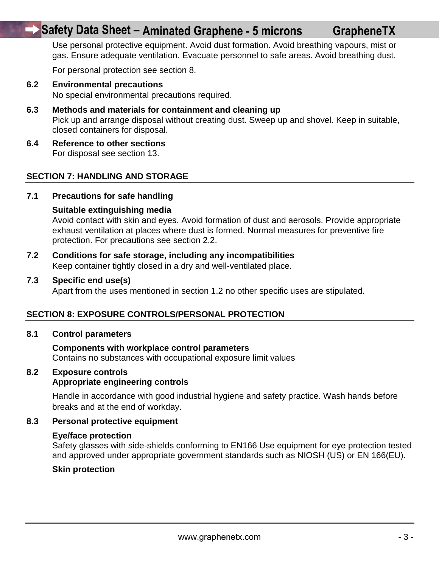# **Safety Data Sheet – Aminated Graphene - 5 microns**

Use personal protective equipment. Avoid dust formation. Avoid breathing vapours, mist or gas. Ensure adequate ventilation. Evacuate personnel to safe areas. Avoid breathing dust.

For personal protection see section 8.

**6.2 Environmental precautions** 

No special environmental precautions required.

- **6.3 Methods and materials for containment and cleaning up**  Pick up and arrange disposal without creating dust. Sweep up and shovel. Keep in suitable, closed containers for disposal.
- **6.4 Reference to other sections**  For disposal see section 13.

# **SECTION 7: HANDLING AND STORAGE**

#### **7.1 Precautions for safe handling**

#### **Suitable extinguishing media**

Avoid contact with skin and eyes. Avoid formation of dust and aerosols. Provide appropriate exhaust ventilation at places where dust is formed. Normal measures for preventive fire protection. For precautions see section 2.2.

**7.2 Conditions for safe storage, including any incompatibilities**  Keep container tightly closed in a dry and well-ventilated place.

#### **7.3 Specific end use(s)**

Apart from the uses mentioned in section 1.2 no other specific uses are stipulated.

#### **SECTION 8: EXPOSURE CONTROLS/PERSONAL PROTECTION**

#### **8.1 Control parameters**

# **Components with workplace control parameters**

Contains no substances with occupational exposure limit values

# **8.2 Exposure controls**

# **Appropriate engineering controls**

Handle in accordance with good industrial hygiene and safety practice. Wash hands before breaks and at the end of workday.

#### **8.3 Personal protective equipment**

#### **Eye/face protection**

Safety glasses with side-shields conforming to EN166 Use equipment for eye protection tested and approved under appropriate government standards such as NIOSH (US) or EN 166(EU).

#### **Skin protection**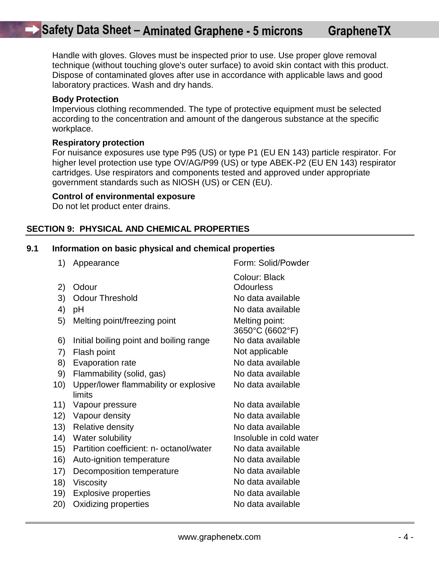Handle with gloves. Gloves must be inspected prior to use. Use proper glove removal technique (without touching glove's outer surface) to avoid skin contact with this product. Dispose of contaminated gloves after use in accordance with applicable laws and good laboratory practices. Wash and dry hands.

#### **Body Protection**

Impervious clothing recommended. The type of protective equipment must be selected according to the concentration and amount of the dangerous substance at the specific workplace.

#### **Respiratory protection**

For nuisance exposures use type P95 (US) or type P1 (EU EN 143) particle respirator. For higher level protection use type OV/AG/P99 (US) or type ABEK-P2 (EU EN 143) respirator cartridges. Use respirators and components tested and approved under appropriate government standards such as NIOSH (US) or CEN (EU).

#### **Control of environmental exposure**

Do not let product enter drains.

# **SECTION 9: PHYSICAL AND CHEMICAL PROPERTIES**

#### **9.1 Information on basic physical and chemical properties**

1) Appearance Form: Solid/Powder Colour: Black 2) Odour Colourless 3) Odour Threshold No data available 4) pH No data available 5) Melting point/freezing point Melting point: 3650°C (6602°F) 6) Initial boiling point and boiling range 7) Flash point Not applicable 8) Evaporation rate No data available 9) Flammability (solid, gas) No data available 10) Upper/lower flammability or explosive **limits** No data available 11) Vapour pressure No data available 12) Vapour density No data available 13) Relative density No data available 14) Water solubility **Insoluble in cold water** 15) Partition coefficient: n- octanol/water No data available 16) Auto-ignition temperature No data available 17) Decomposition temperature No data available 18) Viscosity **No data available** 19) Explosive properties No data available 20) Oxidizing properties No data available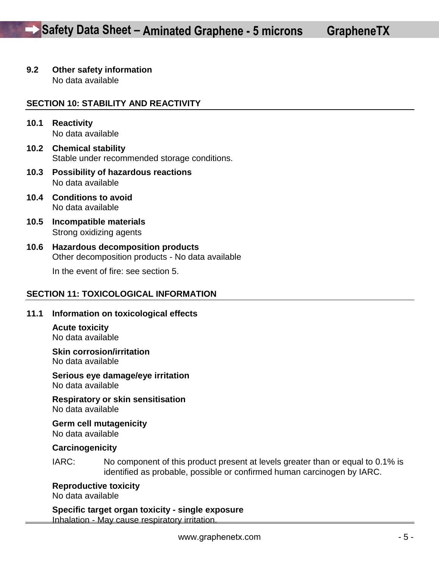# **9.2 Other safety information**

No data available

# **SECTION 10: STABILITY AND REACTIVITY**

- **10.1 Reactivity**  No data available
- **10.2 Chemical stability**  Stable under recommended storage conditions.
- **10.3 Possibility of hazardous reactions**  No data available
- **10.4 Conditions to avoid**  No data available
- **10.5 Incompatible materials**  Strong oxidizing agents
- **10.6 Hazardous decomposition products**  Other decomposition products - No data available

In the event of fire: see section 5.

# **SECTION 11: TOXICOLOGICAL INFORMATION**

#### **11.1 Information on toxicological effects**

**Acute toxicity**  No data available

**Skin corrosion/irritation**  No data available

**Serious eye damage/eye irritation**  No data available

**Respiratory or skin sensitisation**  No data available

**Germ cell mutagenicity**  No data available

#### **Carcinogenicity**

IARC: No component of this product present at levels greater than or equal to 0.1% is identified as probable, possible or confirmed human carcinogen by IARC.

**Reproductive toxicity** 

No data available

**Specific target organ toxicity - single exposure**  Inhalation - May cause respiratory irritation.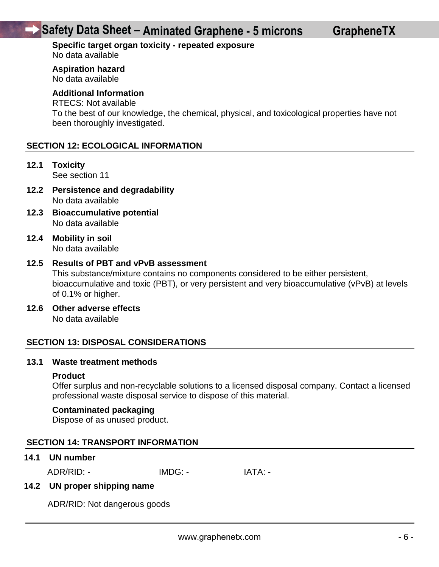# **Safety Data Sheet – Aminated Graphene - 5 microns**

#### **Specific target organ toxicity - repeated exposure**  No data available

**Aspiration hazard** 

No data available

# **Additional Information**

# RTECS: Not available

To the best of our knowledge, the chemical, physical, and toxicological properties have not been thoroughly investigated.

# **SECTION 12: ECOLOGICAL INFORMATION**

**12.1 Toxicity** 

See section 11

- **12.2 Persistence and degradability**  No data available
- **12.3 Bioaccumulative potential**  No data available
- **12.4 Mobility in soil**  No data available

#### **12.5 Results of PBT and vPvB assessment**

This substance/mixture contains no components considered to be either persistent, bioaccumulative and toxic (PBT), or very persistent and very bioaccumulative (vPvB) at levels of 0.1% or higher.

**12.6 Other adverse effects** 

No data available

#### **SECTION 13: DISPOSAL CONSIDERATIONS**

#### **13.1 Waste treatment methods**

#### **Product**

Offer surplus and non-recyclable solutions to a licensed disposal company. Contact a licensed professional waste disposal service to dispose of this material.

#### **Contaminated packaging**

Dispose of as unused product.

### **SECTION 14: TRANSPORT INFORMATION**

#### **14.1 UN number**

ADR/RID: - IMDG: - IMDG: - IATA: -

#### **14.2 UN proper shipping name**

ADR/RID: Not dangerous goods